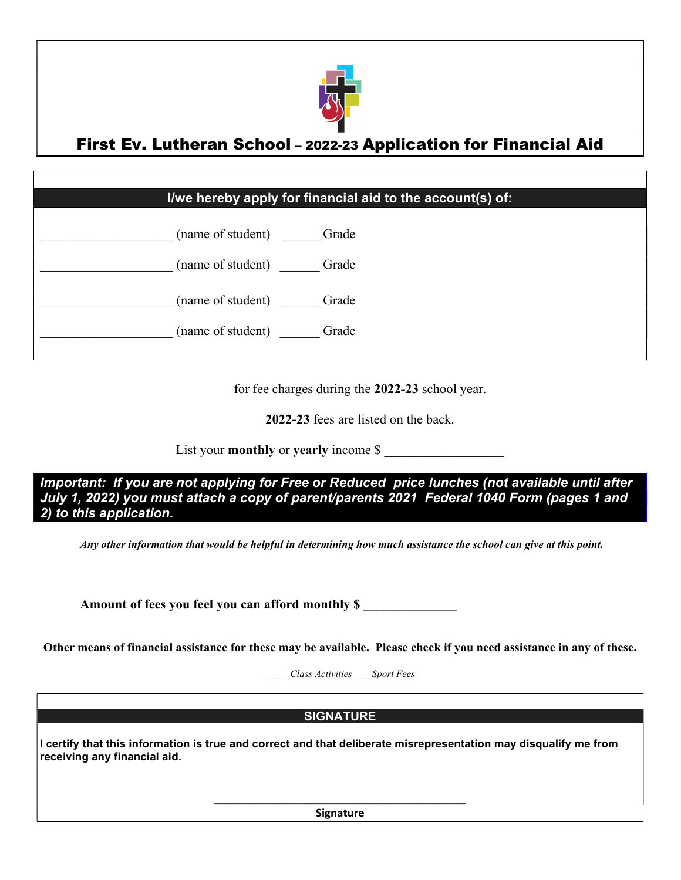

### First Ev. Lutheran School – 2022-23 Application for Financial Aid

### I/we hereby apply for financial aid to the account(s) of:



for fee charges during the 2022-23 school year.

2022-23 fees are listed on the back.

List your **monthly** or yearly income \$

Important: If you are not applying for Free or Reduced price lunches (not available until after July 1, 2022) you must attach a copy of parent/parents 2021 Federal 1040 Form (pages 1 and 2) to this application.

Any other information that would be helpful in determining how much assistance the school can give at this point.

Amount of fees you feel you can afford monthly \$

Other means of financial assistance for these may be available. Please check if you need assistance in any of these.

\_\_\_\_\_Class Activities \_\_\_ Sport Fees

#### **SIGNATURE**

I certify that this information is true and correct and that deliberate misrepresentation may disqualify me from receiving any financial aid.

> \_\_\_\_\_\_\_\_\_\_\_\_\_\_\_\_\_\_\_\_\_\_\_\_\_\_\_\_\_\_\_\_\_\_\_\_\_ Signature